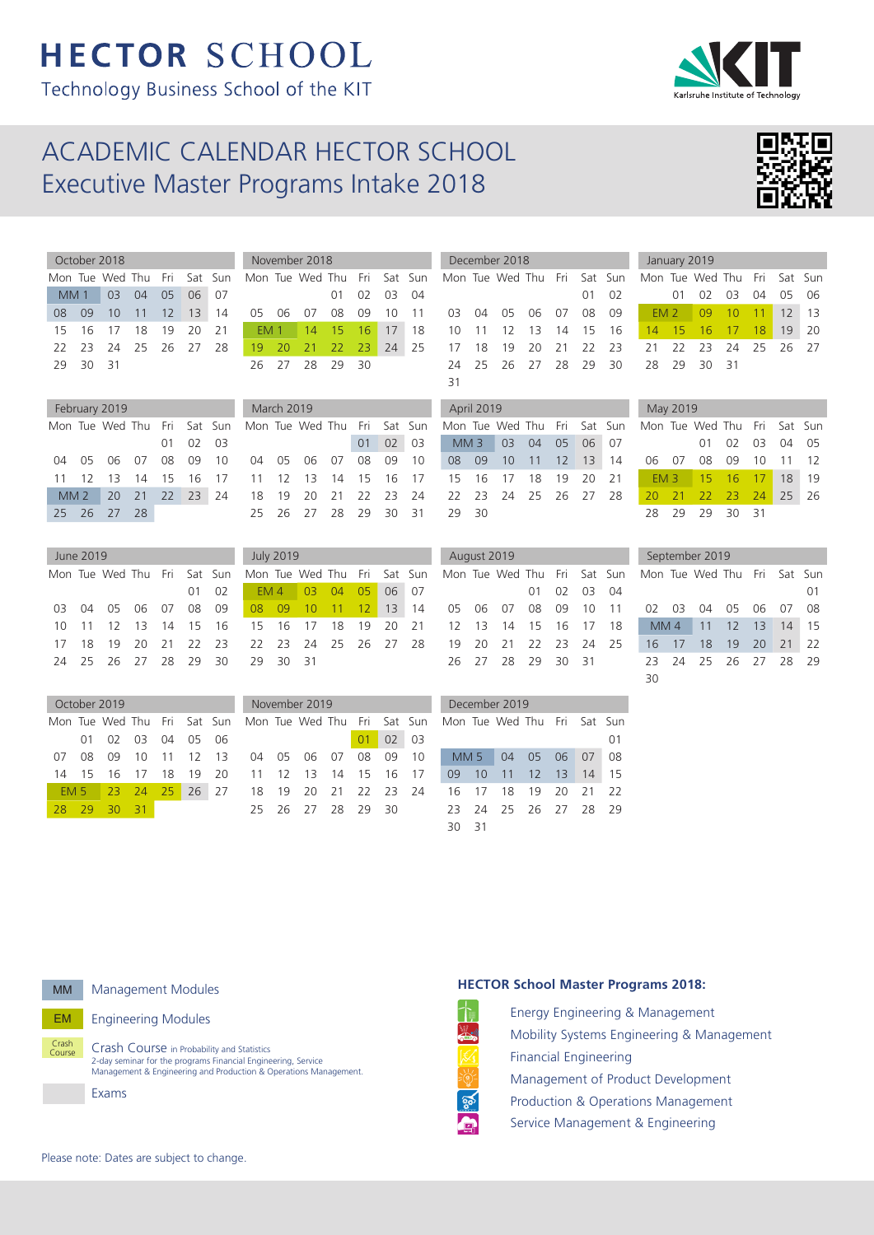# **HECTOR SCHOOL** Technology Business School of the KIT

# ACADEMIC CALENDAR HECTOR SCHOOL Executive Master Programs Intake 2018

November 2018

March 2019 Mon Tue Wed Th

Mon Tue Wed Thu Fri Sat Sun

 05 06 07 08 09 10 12 13 14 15 16 17 19 20 21 22 23 24 26 27 28 29 30 31

Mon Tue Wed Thu Fri Sat Sun EM 4 03 04 05 06 07 08 09 10 11 12 13 14 15 16 17 18 19 20 21

October 2018 Mon Tue Wed Thu Fri Sat Sun MM 1 03 04 05 06 07 08 09 10 11 12 13 14 15 16 17 18 19 20 21 22 23 24 25 26 27 28 29 30 31

|     | February 2019 |                                                      |     |  |          |    |  |  |  |  |  |
|-----|---------------|------------------------------------------------------|-----|--|----------|----|--|--|--|--|--|
|     |               | Mon Tue Wed Thu Fri Sat Sun                          |     |  |          |    |  |  |  |  |  |
|     |               |                                                      |     |  | 01 02 03 |    |  |  |  |  |  |
|     |               | 04        05        06        07        08        09 |     |  |          | 10 |  |  |  |  |  |
|     |               | 11 12 13 14 15 16                                    |     |  |          | 17 |  |  |  |  |  |
|     |               | MM 2 20 21 22 23 24                                  |     |  |          |    |  |  |  |  |  |
| 25. |               | 26 27                                                | -28 |  |          |    |  |  |  |  |  |

|     | June 2019 |                             |  |      |      |
|-----|-----------|-----------------------------|--|------|------|
|     |           | Mon Tue Wed Thu Fri Sat Sun |  |      |      |
|     |           |                             |  | O1 - | - 02 |
| 03. |           | 04 05 06 07                 |  | 08   | 09   |
| 10. |           | 11 12 13 14 15 16           |  |      |      |
| 17  |           | 18 19 20 21 22 23           |  |      |      |
| 24  |           | 25 26 27 28                 |  | -29  | 30   |

October 2019 Mon Tue Wed Th

EM 5 23 24 28 29 30 31

| 17 | 18 |                      |          |       | 19 20 21 22 23 22 23 24 25 26 27 28                            |               |    |          |      |
|----|----|----------------------|----------|-------|----------------------------------------------------------------|---------------|----|----------|------|
|    |    | 24 25 26 27 28 29 30 |          |       | 29 30 31                                                       |               |    |          |      |
|    |    |                      |          |       |                                                                |               |    |          |      |
|    |    |                      |          |       |                                                                |               |    |          |      |
|    |    | October 2019         |          |       |                                                                | November 2019 |    |          |      |
|    |    |                      |          |       | Mon Tue Wed Thu  Fri  Sat  Sun  Mon Tue Wed Thu  Fri  Sat  Sur |               |    |          |      |
|    | 01 |                      | 02 03 04 | 05 06 |                                                                |               |    | 02       | 03   |
| 07 | 08 | 09                   | 10       |       | 11 12 13 04 05 06 07                                           |               | 08 | - 09     | - 10 |
| 14 | 15 | 16 17                |          |       | 18 19 20 11 12 13 14                                           |               |    | 15 16 17 |      |

July 2019

|                 |            |                | 01 02 03 04 |                |                                                                 |            |                      | O1. | 02 |
|-----------------|------------|----------------|-------------|----------------|-----------------------------------------------------------------|------------|----------------------|-----|----|
|                 | 05 06 07   |                |             |                | 08 09 10 11 03 04 05 06 07 08 09                                |            |                      |     |    |
| EM <sub>1</sub> |            |                |             |                | 14 15 16 17 18 10 11 12 13 14 15 16                             |            |                      |     |    |
|                 | 19 20      |                |             | 21 22 23 24 25 |                                                                 |            | 17 18 19 20 21 22 23 |     |    |
|                 |            | 26 27 28 29 30 |             |                |                                                                 |            | 24 25 26 27 28 29 30 |     |    |
|                 |            |                |             |                | 31                                                              |            |                      |     |    |
|                 | March 2019 |                |             |                |                                                                 | April 2019 |                      |     |    |
|                 |            |                |             |                | Mon Tue Wed Thu  Fri  Sat  Sun   Mon Tue Wed Thu  Fri  Sat  Sur |            |                      |     |    |

01 02 03

December 2018

|       | Mon Tue Wed Thu Fri Sat Sun |  |  |
|-------|-----------------------------|--|--|
|       | MM 3 03 04 05 06 07         |  |  |
|       | 08 09 10 11 12 13 14        |  |  |
|       | 15 16 17 18 19 20 21        |  |  |
|       | 22 23 24 25 26 27 28        |  |  |
| 29 30 |                             |  |  |
|       |                             |  |  |

Mon Tue Wed Thu Fri Sat Sun

January 2019

28 29 30 31

May 2019

30

|     | August 2019 |                             |     |    |       |      |
|-----|-------------|-----------------------------|-----|----|-------|------|
|     |             | Mon Tue Wed Thu Fri Sat Sun |     |    |       |      |
|     |             |                             | O1. | 02 | 03    | 04   |
| 05  |             | 06 07 08 09 10              |     |    |       | 11   |
| 12. |             | 13 14 15 16 17              |     |    |       | 18   |
| 19  |             | 20 21 22 23 24              |     |    |       | - 25 |
| 26. |             | 27 28 29 30                 |     |    | $-31$ |      |
|     |             |                             |     |    |       |      |

|     |     | September 2019              |     |     |                 |    |
|-----|-----|-----------------------------|-----|-----|-----------------|----|
|     |     | Mon Tue Wed Thu Fri Sat Sun |     |     |                 |    |
|     |     |                             |     |     |                 | 01 |
| (1) | 03  | 04                          | 05  | 06  | 07              | 08 |
|     | MM4 | 11                          | 12  | 13  | 14              | 15 |
| 16  | 17  | 18                          | 19  | 20  | $\overline{21}$ | 22 |
| フヌ  | 24  | 25                          | 26. | -27 | 28              |    |

|     |          |                                                                     | November 2019              |    |       |                      |        | December 2019        |  |             |      |
|-----|----------|---------------------------------------------------------------------|----------------------------|----|-------|----------------------|--------|----------------------|--|-------------|------|
|     |          | Fri Sat Sun Mon Tue Wed Thu Fri Sat Sun Mon Tue Wed Thu Fri Sat Sun |                            |    |       |                      |        |                      |  |             |      |
|     | 04 05 06 |                                                                     |                            | 01 | 02 03 |                      |        |                      |  |             | 01   |
|     | 11 12 13 |                                                                     | 04  05  06  07  08  09  10 |    |       |                      | MM 5 I |                      |  | 04 05 06 07 | - 08 |
| 18  | 19 20    |                                                                     |                            |    |       | 11 12 13 14 15 16 17 | 09 10  | 11 12 13             |  | 14          | - 15 |
| 25. | 26 27    |                                                                     | 18 19 20 21 22 23 24       |    |       |                      |        | 16 17 18 19 20 21 22 |  |             |      |
|     |          |                                                                     | 25 26 27 28 29 30          |    |       |                      |        | 23 24 25 26 27 28 29 |  |             |      |
|     |          |                                                                     |                            |    |       |                      | 30     |                      |  |             |      |



Crash<br>Course

EM Engineering Modules

Crash Course in Probability and Statistics 2-day seminar for the programs Financial Engineering, Service Management & Engineering and Production & Operations Management.

Exams

#### **HECTOR School Master Programs 2018:** Energy Engineering & Management is and the second second in the second second in the second second in the second second in the second second in the second second second in the second second second second second second second second second second second s

| Mok  |
|------|
| Fina |
| Mar  |
| Proc |
| Serv |

bility Systems Engineering & Management **Incial Engineering** nagement of Product Development duction & Operations Management vice Management & Engineering

Please note: Dates are subject to change.



Mon Tue Wed Thu Fri Sat Sun 01 02 03 04 05 06 EM 2 09 10 11 12 13 14 15 16 17 18 19 20 21 22 23 24 25 26 27

Mon Tue Wed Thu Fri Sat Sun

06 07 08 09 10 11 12 EM 3 15 16 17 18 19 20 21 22 23 24 25 26

28 29 29 30 31

01 02 03 04 05